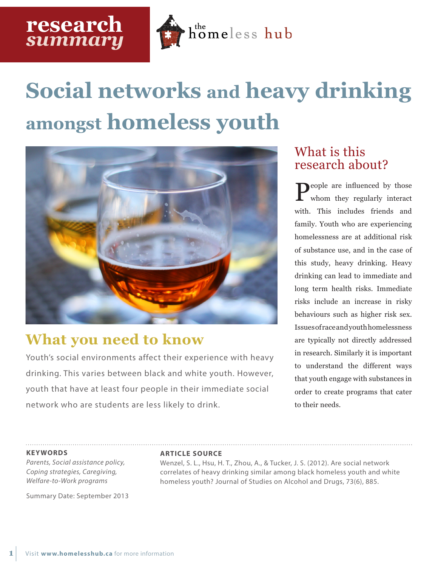

# **Social networks and heavy drinking amongst homeless youth**



## **What you need to know**

Youth's social environments affect their experience with heavy drinking. This varies between black and white youth. However, youth that have at least four people in their immediate social network who are students are less likely to drink.

## What is this research about?

People are influenced by those whom they regularly interact with. This includes friends and family. Youth who are experiencing homelessness are at additional risk of substance use, and in the case of this study, heavy drinking. Heavy drinking can lead to immediate and long term health risks. Immediate risks include an increase in risky behaviours such as higher risk sex. Issues of race and youth homelessness are typically not directly addressed in research. Similarly it is important to understand the different ways that youth engage with substances in order to create programs that cater to their needs.

#### **KEYWORDS**

**1**

*Parents, Social assistance policy, Coping strategies, Caregiving, Welfare-to-Work programs*

Summary Date: September 2013

#### **ARTICLE SOURCE**

Wenzel, S. L., Hsu, H. T., Zhou, A., & Tucker, J. S. (2012). Are social network correlates of heavy drinking similar among black homeless youth and white homeless youth? Journal of Studies on Alcohol and Drugs, 73(6), 885.